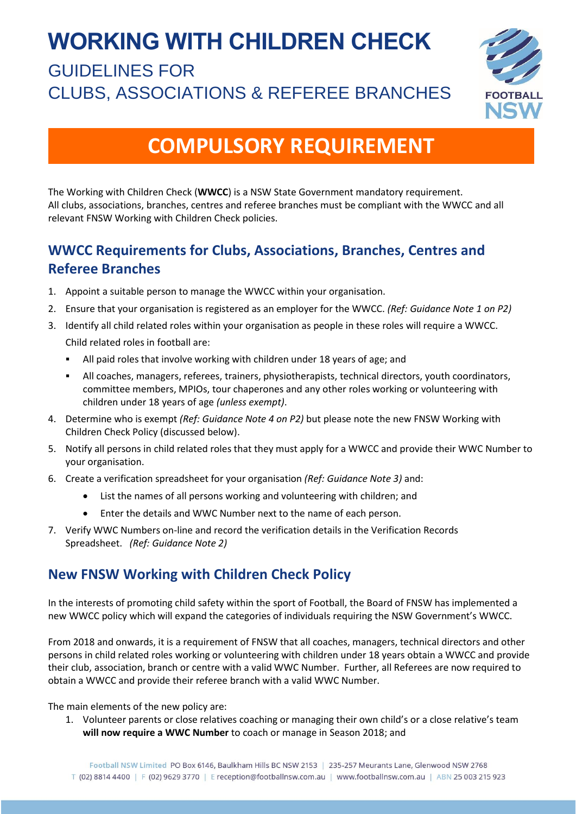# **WORKING WITH CHILDREN CHECK**

## GUIDELINES FOR CLUBS, ASSOCIATIONS & REFEREE BRANCHES



## **COMPULSORY REQUIREMENT**

The Working with Children Check (**WWCC**) is a NSW State Government mandatory requirement. All clubs, associations, branches, centres and referee branches must be compliant with the WWCC and all relevant FNSW Working with Children Check policies.

## **WWCC Requirements for Clubs, Associations, Branches, Centres and Referee Branches**

- 1. Appoint a suitable person to manage the WWCC within your organisation.
- 2. Ensure that your organisation is registered as an employer for the WWCC. *(Ref: Guidance Note 1 on P2)*
- 3. Identify all child related roles within your organisation as people in these roles will require a WWCC. Child related roles in football are:
	- All paid roles that involve working with children under 18 years of age; and
	- All coaches, managers, referees, trainers, physiotherapists, technical directors, youth coordinators, committee members, MPIOs, tour chaperones and any other roles working or volunteering with children under 18 years of age *(unless exempt)*.
- 4. Determine who is exempt *(Ref: Guidance Note 4 on P2)* but please note the new FNSW Working with Children Check Policy (discussed below).
- 5. Notify all persons in child related roles that they must apply for a WWCC and provide their WWC Number to your organisation.
- 6. Create a verification spreadsheet for your organisation *(Ref: Guidance Note 3)* and:
	- List the names of all persons working and volunteering with children; and
	- Enter the details and WWC Number next to the name of each person.
- 7. Verify WWC Numbers on-line and record the verification details in the Verification Records Spreadsheet. *(Ref: Guidance Note 2)*

## **New FNSW Working with Children Check Policy**

In the interests of promoting child safety within the sport of Football, the Board of FNSW has implemented a new WWCC policy which will expand the categories of individuals requiring the NSW Government's WWCC.

From 2018 and onwards, it is a requirement of FNSW that all coaches, managers, technical directors and other persons in child related roles working or volunteering with children under 18 years obtain a WWCC and provide their club, association, branch or centre with a valid WWC Number. Further, all Referees are now required to obtain a WWCC and provide their referee branch with a valid WWC Number.

The main elements of the new policy are:

1. Volunteer parents or close relatives coaching or managing their own child's or a close relative's team **will now require a WWC Number** to coach or manage in Season 2018; and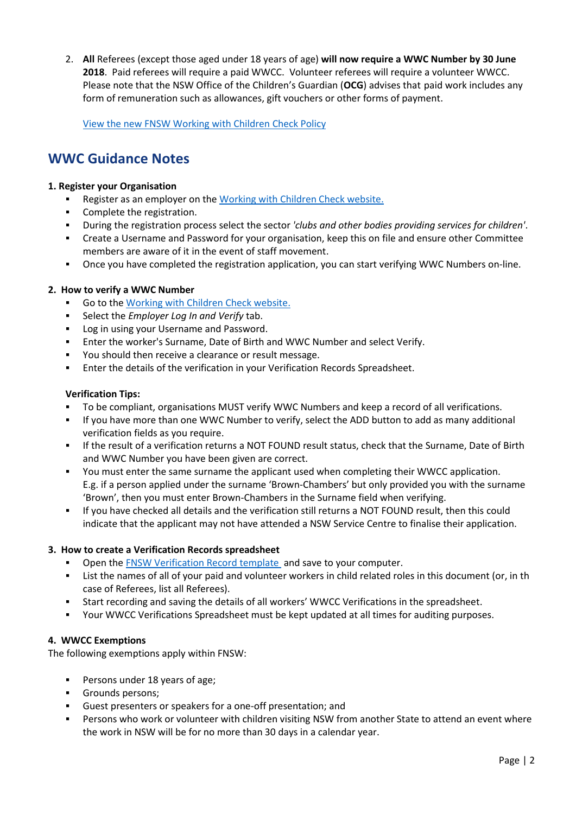2. **All** Referees (except those aged under 18 years of age) **will now require a WWC Number by 30 June 2018**. Paid referees will require a paid WWCC. Volunteer referees will require a volunteer WWCC. Please note that the NSW Office of the Children's Guardian (**OCG**) advises that paid work includes any form of remuneration such as allowances, gift vouchers or other forms of payment.

View [the new FNSW Working with Children Check Policy](https://42f6uk1prw8cdcjbf1vj9lce-wpengine.netdna-ssl.com/wp-content/uploads/2017/12/FNSW-Working-with-Children-Check-Policy.pdf)

## **WWC Guidance Notes**

#### **1. Register your Organisation**

- Register as an employer on the [Working with Children Check website.](https://www.kidsguardian.nsw.gov.au/child-safe-organisations/working-with-children-check/apply)
- Complete the registration.
- During the registration process select the sector *'clubs and other bodies providing services for children'*.
- Create a Username and Password for your organisation, keep this on file and ensure other Committee members are aware of it in the event of staff movement.
- Once you have completed the registration application, you can start verifying WWC Numbers on-line.

#### **2. How to verify a WWC Number**

- Go to the [Working with Children Check website.](https://www.kidsguardian.nsw.gov.au/child-safe-organisations/working-with-children-check/apply)
- Select the *Employer Log In and Verify* tab.
- Log in using your Username and Password.
- Enter the worker's Surname, Date of Birth and WWC Number and select Verify.
- You should then receive a clearance or result message.
- Enter the details of the verification in your Verification Records Spreadsheet.

#### **Verification Tips:**

- To be compliant, organisations MUST verify WWC Numbers and keep a record of all verifications.
- If you have more than one WWC Number to verify, select the ADD button to add as many additional verification fields as you require.
- **.** If the result of a verification returns a NOT FOUND result status, check that the Surname, Date of Birth and WWC Number you have been given are correct.
- You must enter the same surname the applicant used when completing their WWCC application. E.g. if a person applied under the surname 'Brown-Chambers' but only provided you with the surname 'Brown', then you must enter Brown-Chambers in the Surname field when verifying.
- If you have checked all details and the verification still returns a NOT FOUND result, then this could indicate that the applicant may not have attended a NSW Service Centre to finalise their application.

#### **3. How to create a Verification Records spreadsheet**

- Open the [FNSW Verification Record template](https://42f6uk1prw8cdcjbf1vj9lce-wpengine.netdna-ssl.com/wp-content/uploads/2018/01/WWC-Verification-Records-TEMPLATE.xlsx) and save to your computer.
- List the names of all of your paid and volunteer workers in child related roles in this document (or, in th case of Referees, list all Referees).
- Start recording and saving the details of all workers' WWCC Verifications in the spreadsheet.
- Your WWCC Verifications Spreadsheet must be kept updated at all times for auditing purposes.

#### **4. WWCC Exemptions**

The following exemptions apply within FNSW:

- Persons under 18 years of age;
- Grounds persons;
- Guest presenters or speakers for a one-off presentation; and
- Persons who work or volunteer with children visiting NSW from another State to attend an event where the work in NSW will be for no more than 30 days in a calendar year.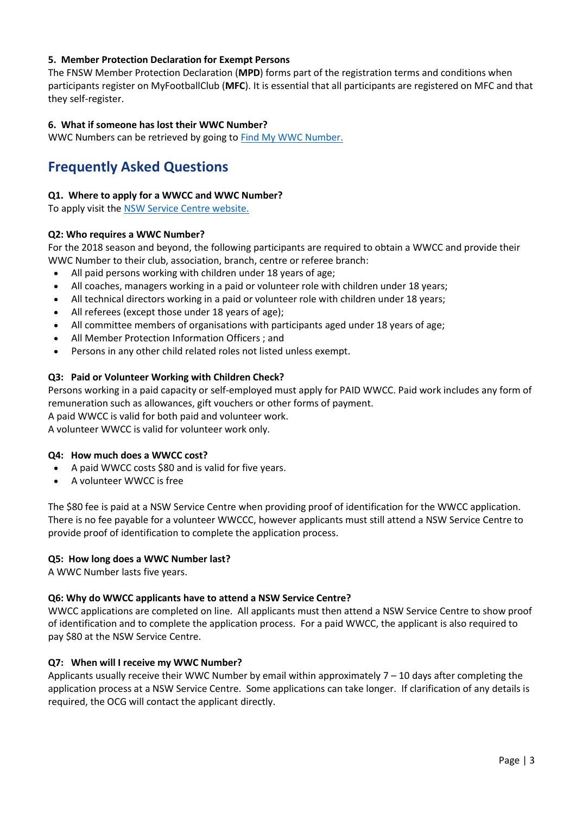#### **5. Member Protection Declaration for Exempt Persons**

The FNSW Member Protection Declaration (**MPD**) forms part of the registration terms and conditions when participants register on MyFootballClub (**MFC**). It is essential that all participants are registered on MFC and that they self-register.

#### **6. What if someone has lost their WWC Number?**

WWC Numbers can be retrieved by going to **Find My WWC Number.** 

## **Frequently Asked Questions**

#### **Q1. Where to apply for a WWCC and WWC Number?**

To apply visit the [NSW Service Centre website.](https://www.service.nsw.gov.au/transaction/apply-working-children-check)

#### **Q2: Who requires a WWC Number?**

For the 2018 season and beyond, the following participants are required to obtain a WWCC and provide their WWC Number to their club, association, branch, centre or referee branch:

- All paid persons working with children under 18 years of age;
- All coaches, managers working in a paid or volunteer role with children under 18 years;
- All technical directors working in a paid or volunteer role with children under 18 years;
- All referees (except those under 18 years of age);
- All committee members of organisations with participants aged under 18 years of age;
- All Member Protection Information Officers ; and
- Persons in any other child related roles not listed unless exempt.

#### **Q3: Paid or Volunteer Working with Children Check?**

Persons working in a paid capacity or self-employed must apply for PAID WWCC. Paid work includes any form of remuneration such as allowances, gift vouchers or other forms of payment.

A paid WWCC is valid for both paid and volunteer work.

A volunteer WWCC is valid for volunteer work only.

#### **Q4: How much does a WWCC cost?**

- A paid WWCC costs \$80 and is valid for five years.
- A volunteer WWCC is free

The \$80 fee is paid at a NSW Service Centre when providing proof of identification for the WWCC application. There is no fee payable for a volunteer WWCCC, however applicants must still attend a NSW Service Centre to provide proof of identification to complete the application process.

#### **Q5: How long does a WWC Number last?**

A WWC Number lasts five years.

#### **Q6: Why do WWCC applicants have to attend a NSW Service Centre?**

WWCC applications are completed on line. All applicants must then attend a NSW Service Centre to show proof of identification and to complete the application process. For a paid WWCC, the applicant is also required to pay \$80 at the NSW Service Centre.

#### **Q7: When will I receive my WWC Number?**

Applicants usually receive their WWC Number by email within approximately 7 – 10 days after completing the application process at a NSW Service Centre. Some applications can take longer. If clarification of any details is required, the OCG will contact the applicant directly.